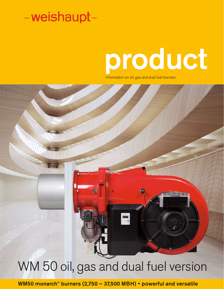# product

ń.

ШЩШн

Information on oil, gas and dual fuel burners

# WM 50 oil, gas and dual fuel version

WM50 monarch® burners (2,750 – 37,500 MBH) • powerful and versatile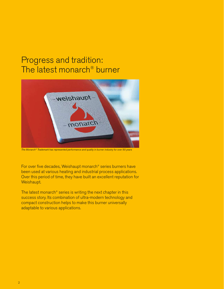### Progress and tradition: The latest monarch® burner



*The Monarch® Trademark has represented performance and quality in burner industry for over 50 years*

For over five decades, Weishaupt monarch® series burners have been used at various heating and industrial process applications. Over this period of time, they have built an excellent reputation for Weishaupt.

The latest monarch® series is writing the next chapter in this success story. Its combination of ultra-modern technology and compact construction helps to make this burner universally adaptable to various applications.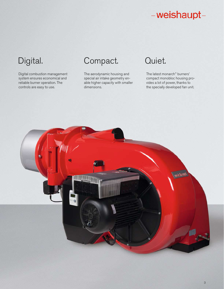Digital combustion management system ensures economical and reliable burner operation. The controls are easy to use.

### Digital. Compact. Quiet.

The aerodynamic housing and special air intake geometry enable higher capacity with smaller dimensions.

The latest monarch® burners' compact monobloc housing provides a lot of power, thanks to the specially developed fan unit.

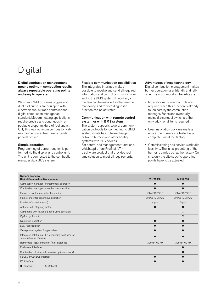### **Digital**

#### Digital combustion management means optimum combustion results, always repeatable operating points and easy to operate.

Weishaupt WM 50 series oil, gas and dual fuel burners are equipped with electronic fuel air ratio controller and digital combustion manager as standard. Modern heating applications require precise and continuously repeatable proper mixture of fuel and air. Only this way, optimum combustion values can be guaranteed over extended periods of time.

#### Simple operation

Programming of burner function is performed via the display and control unit. The unit is connected to the combustion manager via a BUS system.

#### Flexible communication possibilities

The integrated interface makes it possible to receive and send all required information and control commands from and to the BMS system. If required, a modem can be installed so that remote monitoring and remote diagnostic function can be activated.

#### Communication with remote control system or with BMS system

The system supports several communication protocols for connecting to BMS system if data has to be exchanged between burners and other heating systems with PLC devices. For control and management functions, Weishaupt offers ProGraf NT – a software product that provides real time solution to meet all requirements.

#### Advantages of new technology

Digital combustion management makes burner operation user friendly and reliable. The most important benefits are:

- No additional burner controls are required since this function is already taken care by the combustion manager. Fuses and eventually mains dis-connect switch are the only addi-tional items required.
- Less installation work means less errors: the burners are tested as a complete unit at the factory.
- Commissioning and service work take less time. The initial presetting of the burner is carried out at the factory. On site, only the site specific operating points have to be adjusted.

| <b>System overview</b><br><b>Digital Combustion Management</b>                  | <b>W-FM 100</b> | <b>W-FM 200</b> |  |
|---------------------------------------------------------------------------------|-----------------|-----------------|--|
| Combustion manager for intermittent operation                                   |                 |                 |  |
| Combustion manager for continuous operation                                     |                 |                 |  |
| Flame sensor for intermittent operation                                         | ION/QRI/QRB     | ION/QRI/QRB     |  |
| Flame sensor for continuous operation                                           | ION/QRI/QRA73   | ION/QRI/QRA73   |  |
| Number of actuator (max.)                                                       | 4 pcs           | 6 pcs           |  |
| Actuator with stepping motor                                                    |                 |                 |  |
| Compatible with Variable Speed Drive operation                                  |                 | $\circ$         |  |
| $O_2$ -Trim (optional)                                                          |                 | $\circ$         |  |
| Single fuel operation                                                           |                 |                 |  |
| Dual fuel operation                                                             |                 |                 |  |
| Valve proving system for gas valves                                             |                 |                 |  |
| Integrated self tuning PID-Modulating controller for<br>Temperature or Pressure |                 |                 |  |
| Removable ABE control unit (max. distance)                                      | 325 ft (100 m)  | 325 ft (100 m)  |  |
| Fuel meter interface                                                            |                 |                 |  |
| Combustion efficiency display (w/ optional sensor)                              |                 |                 |  |
| eBUS / MOD BUS interface                                                        |                 |                 |  |
| PC interface                                                                    |                 |                 |  |
| • Standard<br>O Optional                                                        |                 |                 |  |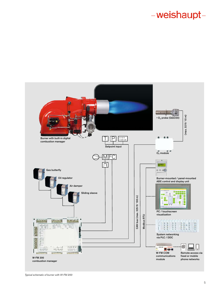

*Typical schematic of burner with W-FM 200*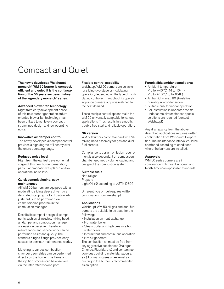### Compact and Quiet

The newly developed Weishaupt monarch® WM 50 burner is compact, efficient and quiet. It is the continuation of the 50 years success history of the legendary monarch® series.

#### Advanced blower fan technology

Right from early development phase of this new burner generation, future oriented blower fan technology has been utilized to achieve a compact, streamined design and low operating noise.

#### Innovative air damper control

The newly developed air damper control provides a high degree of linearity over the entire operating range.

### Reduced noise level

Right from the earliest developmental stage of this new burner generation, particular emphasis was placed on low operational noise level.

#### Quick commissioning, easy maintenance

All WM 50 burners are equipped with a modulating sliding sleeve driven by a dedicated stepping motor. Position adjustment is to be performed via commissioning program in the combustion manager.

Despite its compact design all components such as oil nozzles, mixing head, air damper and combustion manager are easily accessible. Therefore maintenance and service work can be performed easily and quickly. The standard hinged flange provides easy access for service/ maintenance works.

Matching to various combustion chamber geometries can be performed directly on the burner. The flame and the ignition process can be observed via the integrated viewing port.

#### Flexible control capability

Weishaupt WM 50 burners are suitable for sliding-two-stage or modulating operation, depending on the type of modulating controller. Throughout its operating range burner's output is matched to the heat demand.

These multiple control options make the WM 50 universally adaptable to various applications. Thus results in a smooth, trouble free start and reliable operation.

#### NR version

WM 50 burners come standard with NR mixing head assembly for gas and dual fuel burners.

Compliance to certain emission requirement is also dependant on combustion chamber geometry, volume loading and design of the combustion system.

#### Suitable fuels

Natural gas Propane Light Oil #2 according to ASTM D396

Different type of fuel requires written confirmation from Weishaupt.

#### Applications

Weishaupt WM 50 oil, gas and dual fuel burners are suitable to be used for the following:

- Installation on heat exchanger
- Hot water boiler
- Steam boiler and high pressure hot water boiler
- Intermittent and continuous operation
- Hot air generator

The combustion air must be free from any aggressive substances (Halogen, Chloride, Fluoride, etc) and contamination (dust, building materials, vapours, etc). For many cases an external air ducting to the burner is recommended as an option.

#### Permissible ambient conditions:

- Ambient temperature
	- $-10$  to  $+40$  °C (14 to 104F)
	- $-15$  to  $+40$  °C (5 to 104F)
- Air humidity: max. 80 % relative humidity, no condensation
- Suitable only for indoor operation
- For installation in unheated rooms under some circumstances special solutions are required (contact Weishaupt)

Any discrepancy from the above described applications requires written confirmation from Weishaupt Corporation. The maintenance interval could be shortened according to conditions where the burners are installed.

### Approvals

WM 50 series burners are in compliance with most European and North American applicable standards.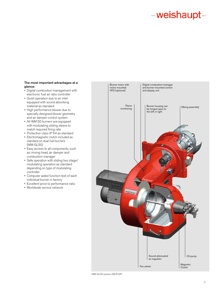#### The most important advantages at a glance:

- Digital combustion management with electronic fuel air ratio controller
- Quiet operation due to air inlet equipped with sound absorbing material as standard
- High performance blower due to specially designed blower geometry and air damper control system
- All WM 50 burners are equipped with modulating sliding sleeve to match required firing rate
- Protection class IP 54 as standard
- Electromagnetic clutch included as standard on dual fuel burners (WM-GL50)
- Easy access to all components, such as: mixing head, air damper and combustion manager
- Safe operation with sliding two stage/ modulating operation as standard depending on type of modulating controller
- Computer aided function test of each individual burner in factory
- Excellent price to performance ratio
- Worldwide service network



*WM-GL50 version ZM-R-NR*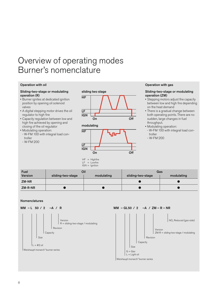### Overview of operating modes Burner's nomenclature

#### Operation with oil

#### Sliding-two-stage or modulating operation (R)

- Burner ignites at dedicated ignition position by opening oil solenoid valves
- A digital stepping motor drives the oil regulator to high fire
- Capacity regulation between low and high fire achieved by opening and closing of the oil regulator
- Modulating operation:
- W-FM 100 with integral load controller
- W-FM 200



### Operation with gas

#### Sliding-two-stage or modulating operation (ZM)

- Stepping motors adjust the capacity between low and high fire depending on the heat demand
- There is a gradual change between both operating points. There are no sudden, large changes in fuel throughput.
- Modulating operation:
- W-FM 100 with integral load controller
- W-FM 200

| <b>Fuel</b>    |                   | Oil        | Gas               |            |  |  |
|----------------|-------------------|------------|-------------------|------------|--|--|
| <b>Version</b> | sliding-two-stage | modulating | sliding-two-stage | modulating |  |  |
| ZM-NR          |                   |            |                   |            |  |  |
| ZM-R-NR        |                   |            |                   |            |  |  |

 $LF = Lowfire$ IGN = Ignition

### Nomenclatures



Capacity

Size

 $L = #2$  oil Weishaupt monarch® burner series

Revision

### WM – GL50 / 2 –A / ZM – R – NR



8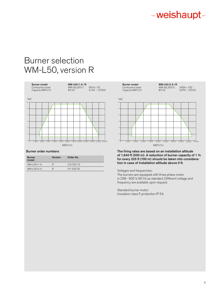### Burner selection WM-L50, version R



### Burner order numbers

| R | 215 520 10 |
|---|------------|
| R | 211 520 20 |
|   |            |



The firing rates are based on an installation altitude of 1,640 ft (500 m). A reduction of burner capacity of 1 % for every 325 ft (100 m) should be taken into consideration in case of installation altitude above 0 ft.

Voltages and frequencies:

The burners are equipped with three phase motor in 208 - 600 V, 60 Hz as standard. Different voltage and frequency are available upon request.

Standard burner motor: Insulation class F, protection IP 54.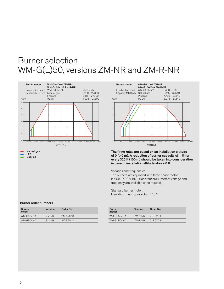### Burner selection WM-G(L)50, versions ZM-NR and ZM-R-NR



-2 0 2 4 6 0 4,000 8,000 12,000 16,000 20,000 24,000 28,000 32,000 36,000 40,000 8 10 36,000 Burner model WM-G50/2-A ZM-NR **WM-GL50/2-A ZM-R-NR**<br>WM-G(L)50/2, 345K x 100 Combustion head WM-G(L)50/2, 345K x 100<br>Capacity MBTU/h Natural gas 3,415 - 37,540 Capacity MBTU/h Natural gas<br>Propane<br>#2 Oil  $4,780 - 37,540$  $5.975 - 37.540$ MBTU/hr "WC

The firing rates are based on an installation altitude of 0 ft (0 m). A reduction of burner capacity of 1 % for every 325 ft (100 m) should be taken into consideration in case of installation altitude above 0 ft.

Voltages and frequencies:

The burners are equipped with three phase motor in 208 - 600 V, 60 Hz as standard. Different voltage and frequency are available upon request.

Standard burner motor: Insulation class F, protection IP 54.

### Burner order numbers

| <b>Burner</b><br>model | <b>Version</b> | Order No.  | <b>Burner</b><br>model | Version | Order No.  |
|------------------------|----------------|------------|------------------------|---------|------------|
| WM-G50/1-A             | ZM-NR          | 217 520 13 | $WM-GL50/1-A$          | 7M-R-NR | 218 520 13 |
| WM-G50/2-A             | ZM-NR          | 917 590 14 | WM-GL50/2-A            | 7M-R-NR | 218 520 14 |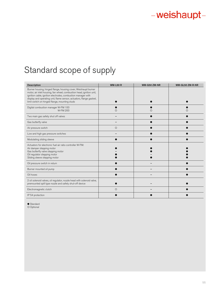### Standard scope of supply

| <b>Description</b>                                                                                                                                                                                                                                                                                                             | <b>WM-L50 R</b> | WM-G50 ZM-NR | WM-GL50 ZM-R-NR |
|--------------------------------------------------------------------------------------------------------------------------------------------------------------------------------------------------------------------------------------------------------------------------------------------------------------------------------|-----------------|--------------|-----------------|
| Burner housing, hinged flange, housing cover, Weishaupt burner<br>motor, air inlet housing, fan wheel, combustion head, ignition unit,<br>ignition cable, ignition electrodes, combustion manager with<br>display and operating unit, flame sensor, actuators, flange gasket,<br>limit switch on hinged flange, mounting studs |                 |              |                 |
| Digital combustion manager W-FM 100<br>W-FM 200                                                                                                                                                                                                                                                                                | $\left($        |              |                 |
| Two main gas safety shut off valves                                                                                                                                                                                                                                                                                            |                 |              |                 |
| Gas butterfly valve                                                                                                                                                                                                                                                                                                            |                 |              |                 |
| Air pressure switch                                                                                                                                                                                                                                                                                                            | $\circ$         |              |                 |
| Low and high gas pressure switches                                                                                                                                                                                                                                                                                             |                 |              |                 |
| Modulating sliding sleeve                                                                                                                                                                                                                                                                                                      |                 |              |                 |
| Actuators for electronic fuel air ratio controller W-FM:<br>Air damper stepping motor<br>Gas butterfly valve stepping motor<br>Oil regulator stepping motor<br>Sliding sleeve stepping motor                                                                                                                                   |                 |              |                 |
| Oil pressure switch in return                                                                                                                                                                                                                                                                                                  |                 |              |                 |
| Burner mounted oil pump                                                                                                                                                                                                                                                                                                        |                 |              |                 |
| Oil hoses                                                                                                                                                                                                                                                                                                                      |                 |              |                 |
| 2 oil solenoid valves, oil regulator, nozzle head with solenoid valve,<br>premounted spill type nozzle and safety shut-off device                                                                                                                                                                                              |                 |              |                 |
| Electromagnetic clutch                                                                                                                                                                                                                                                                                                         | $\circ$         |              |                 |
| IP 54 protection                                                                                                                                                                                                                                                                                                               |                 |              |                 |

● Standard<br>○ Optional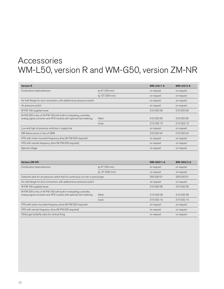### Accessories WM-L50, version R and WM-G50, version ZM-NR

| <b>Version R</b>                                                                                                                        |                 | <b>WM-L50/1-A</b> | <b>WM-L50/2-A</b> |
|-----------------------------------------------------------------------------------------------------------------------------------------|-----------------|-------------------|-------------------|
| Combustion head extension                                                                                                               | by 6" (150 mm)  | on request        | on request        |
|                                                                                                                                         | by 12" (300 mm) | on request        | on request        |
| Air inlet flange for duct connection, with additional air pressure switch                                                               |                 | on request        | on request        |
| Air pressure switch                                                                                                                     |                 | on request        | on request        |
| W-FM 100 supplied loose                                                                                                                 |                 | 210 032 08        | 210 032 08        |
| W-FM 200 in lieu of W-FM 100 with built in modulating controller,<br>analog signal convertor and VFD module with optional fuel metering | fitted          | 210 032 09        | 210 032 09        |
|                                                                                                                                         | loose           | 21003210          | 210 032 10        |
| Low and high oil pressure switches in supply line                                                                                       |                 | on request        | on request        |
| ORI flame sensor in lieu of ORB                                                                                                         |                 | 210 030 24        | 210 030 24        |
| VFD with motor mounted frequency drive (W-FM 200 required)                                                                              |                 | on request        | on request        |
| VFD with remote frequency drive (W-FM 200 required)                                                                                     |                 | on request        | on request        |
| Special voltage                                                                                                                         |                 | on request        | on request        |

| <b>Version ZM-NR</b>                                                             |                 | <b>WM-G50/1-A</b> | <b>WM-G50/2-A</b> |
|----------------------------------------------------------------------------------|-----------------|-------------------|-------------------|
| Combustion head extension                                                        | by 6" (150 mm)  | on request        | on request        |
|                                                                                  | by 12" (300 mm) | on request        | on request        |
| Solenoid valve for air pressure switch test for continuous-run fan or post-purge | 25003021        | 250 030 21        |                   |
| Air inlet flange for duct connection, with additional air pressure switch        | on request      | on request        |                   |
| W-FM 100 supplied loose                                                          | 210 032 08      | 210 032 08        |                   |
| W-FM 200 in lieu of W-FM 100 with built in modulating controller,                |                 |                   |                   |
| analog signal convertor and VFD module with optional fuel metering               | fitted          | 210 032 09        | 210 032 09        |
|                                                                                  | loose           | 210 032 10        | 210 032 10        |
| VFD with motor mounted frequency drive (W-FM 200 required)                       |                 | on request        | on request        |
| VFD with remote frequency drive (W-FM 200 required)                              | on request      | on request        |                   |
| Offset gas butterfly valve for vertical firing                                   |                 | on request        | on request        |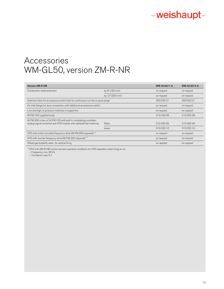### Accessories WM-GL50, version ZM-R-NR

| <b>Version ZM-R-NR</b>                                                                                                                  |                 | <b>WM-GL50/1-A</b> | <b>WM-GL50/2-A</b> |
|-----------------------------------------------------------------------------------------------------------------------------------------|-----------------|--------------------|--------------------|
| Combustion head extension                                                                                                               | by 6" (150 mm)  | on request         | on request         |
|                                                                                                                                         | by 12" (300 mm) | on request         | on request         |
| Solenoid valve for air pressure switch test for continuous-run fan or post-purge                                                        |                 | 250 030 21         | 250 030 21         |
| Air inlet flange for duct connection, with additional air pressure switch                                                               | on request      | on request         |                    |
| Low and high oil pressure switches in supply line                                                                                       |                 | on request         | on request         |
| W-FM 100 supplied loose                                                                                                                 |                 | 210 032 08         | 210 032 08         |
| W-FM 200 in lieu of W-FM 100 with built in modulating controller,<br>analog signal convertor and VFD module with optional fuel metering | fitted          | 210 032 09         | 210 032 09         |
|                                                                                                                                         | loose           | 21003210           | 21003210           |
| VFD with motor mounted frequency drive (W-FM 200 required) <sup>1)</sup>                                                                |                 | on request         | on request         |
| VFD with remote frequency drive (W-FM 200 required) <sup>1)</sup>                                                                       |                 | on request         | on request         |
| Offset gas butterfly valve for vertical firing                                                                                          |                 | on request         | on request         |

1) VFD with ZM-R-NR version burners: general conditions for VFD operation when firing on oil

– Frequency: min. 35 Hz

– Turndown: max. 5:1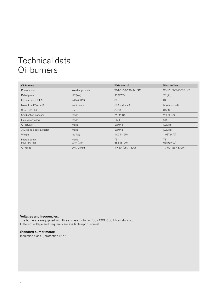### Technical data Oil burners

| Oil burners                                 |                                      | <b>WM-L50/1-A</b>             | <b>WM-L50/2-A</b>             |
|---------------------------------------------|--------------------------------------|-------------------------------|-------------------------------|
| Burner motor                                | Weishaupt model                      | WM-D160/240-2/16K5            | WM-D160/240-2/21K0            |
| Rated power                                 | $HP$ $(kW)$                          | 23(17.2)                      | 28(21)                        |
| Full load amps (FLA)                        | $A$ (@460 V)                         | 30                            | 34                            |
| Motor fuse $(\forall \Delta \text{ start})$ | A minimum                            | 50A (external)                | 50A (external)                |
| Speed (60 Hz)                               | rpm                                  | 3,580                         | 3,550                         |
| Combustion manager                          | model                                | <b>W-FM 100</b>               | <b>W-FM100</b>                |
| Flame monitoring                            | model                                | QRB                           | QRB                           |
| Oil actuator                                | model                                | <b>SQM45</b>                  | <b>SQM45</b>                  |
| Air/sliding sleeve actuator                 | model                                | SQM48                         | SQM48                         |
| Weight                                      | $\mathsf{lbs}(\mathsf{k}\mathsf{g})$ | 1,004(455)                    | 1,037 (470)                   |
| Integral pump<br>Max. flow rate             | model<br>GPH (I/h)                   | T <sub>3</sub><br>658 (2,490) | T <sub>3</sub><br>658 (2,490) |
| Oil hoses                                   | DN / Length                          | $1\degree$ / 50" (25 / 1300)  | $1\degree$ / 50" (25 / 1300)  |

### Voltages and frequencies:

The burners are equipped with three phase motor in 208 - 600 V, 60 Hz as standard. Different voltage and frequency are available upon request.

### Standard burner motor:

Insulation class F, protection IP 54.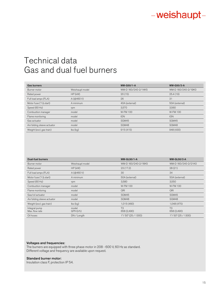### Technical data Gas and dual fuel burners

| <b>Gas burners</b>                           |                                      | <b>WM-G50/1-A</b>   | <b>WM-G50/2-A</b>   |
|----------------------------------------------|--------------------------------------|---------------------|---------------------|
| Burner motor                                 | Weishaupt model                      | WM-D 160/240-2/14K5 | WM-D 160/240-2/19K0 |
| Rated power                                  | $HP$ $(kW)$                          | 20(15)              | 25.4(19)            |
| Full load amps (FLA)                         | $A$ (@460 V)                         | 26                  | 31                  |
| Motor fuse $(\Upsilon \Delta \text{ start})$ | A minimum                            | 40A (external)      | 50A (external)      |
| Speed (60 Hz)                                | rpm                                  | 3.570               | 3.560               |
| Combustion manager                           | model                                | <b>W-FM100</b>      | <b>W-FM100</b>      |
| Flame monitoring                             | model                                | <b>ION</b>          | <b>ION</b>          |
| Gas actuator                                 | model                                | SQM45               | SQM45               |
| Air/sliding sleeve actuator                  | model                                | SQM48               | SQM48               |
| Weight (excl. gas train)                     | $\mathsf{lbs}(\mathsf{k}\mathsf{g})$ | 915(415)            | 948 (430)           |

| <b>Dual-fuel burners</b>                     |                                      | <b>WM-GL50/1-A</b>             | <b>WM-GL50/2-A</b>            |
|----------------------------------------------|--------------------------------------|--------------------------------|-------------------------------|
| Burner motor                                 | Weishaupt model                      | WM-D 160/240-2/16K5            | WM-D 160/240-2/21K0           |
| Rated power                                  | $HP$ $(kW)$                          | 23(17.2)                       | 28(21)                        |
| Full load amps (FLA)                         | $A$ (@460 V)                         | 30                             | 34                            |
| Motor fuse $(\Upsilon \Delta \text{ start})$ | A minimum                            | 50A (external)                 | 50A (external)                |
| Speed (60 Hz)                                | rpm                                  | 3,580                          | 3,550                         |
| Combustion manager                           | model                                | <b>W-FM 100</b>                | <b>W-FM100</b>                |
| Flame monitoring                             | model                                | QRI                            | QRI                           |
| Gas/oil actuator                             | model                                | SQM45                          | SQM45                         |
| Air/sliding sleeve actuator                  | model                                | SQM48                          | SQM48                         |
| Weight (excl. gas train)                     | $\mathsf{lbs}(\mathsf{k}\mathsf{g})$ | 1,015(460)                     | 1,048 (475)                   |
| Integral pump<br>Max, flow rate              | model<br>GPH (I/h)                   | T <sub>3</sub><br>658 (2,490)  | T <sub>3</sub><br>658 (2,490) |
| Oil hoses                                    | DN / Length                          | $1\frac{7}{2}$ 50" (25 / 1300) | 1"/50" (25 / 1300)            |

#### Voltages and frequencies:

The burners are equipped with three phase motor in 208 - 600 V, 60 Hz as standard. Different voltage and frequency are available upon request.

### Standard burner motor:

Insulation class F, protection IP 54.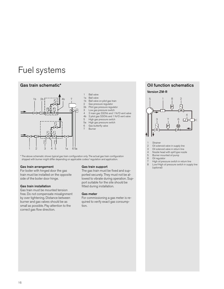### Fuel systems



- 1 Ball valve
- 1a Ball valve
- 
- 1b Ball valve on pilot gas train<br>2 Gas pressure regulator Gas pressure regulator
- 
- 2b Pilot gas pressure regulator<br>3 Low gas pressure switch 3 Low gas pressure switch
- 4 2 main gas SSOVs and 1 N/O vent valve
- 4b 2 pilot gas SSOVs and 1 N/O vent valve
- 
- 5 High gas pressure switch<br>5a High gas pressure switch
- 5a High gas pressure switch
- Gas butterfly valve 7 Burner

\* The above schematic shows typical gas train configuration only. The actual gas train configuration shipped with burner might differ depending on applicable codes/ regulation and application.

#### Gas train arrangement

For boiler with hinged door the gas train must be installed on the opposite side of the boiler door hinge.

### Gas train installation

Gas train must be mounted tension free. Do not compensate misalignment by over tightening. Distance between burner and gas valves should be as small as possible. Pay attention to the correct gas flow direction.

#### Gas train support

The gas train must be fixed and supported securely. They must not be allowed to vibrate during operation. Support suitable for the site should be fitted during installation.

#### Gas meter

For commissioning a gas meter is required to verify exact gas consumption.

### Gas train schematic\* Oil function schematics

Version ZM-R



- 
- 1 Strainer<br>2 Oil soler Oil solenoid valve in supply line
- 
- 3 Oil solenoid valve in return line<br>4 Nozzle head with spill type nozz
- 4 Nozzle head with spill type nozzle<br>5 Burner mounted oil pump 5 Burner mounted oil pump<br>6 Oil requilator
- Oil regulator
- 7 High oil pressure switch in return line
- 8 Low/High oil pressure switch in supply line (optional)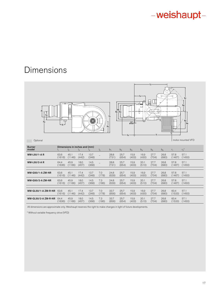### Dimensions

| d <sub>1</sub><br>h <sub>4</sub><br>$h_3$<br>Optional | μy<br>$ \vert$ $\vert$ $\vert$ $\vert$ |                                        |               | 0             |       | h <sub>1</sub><br>$\mathsf{h}_2$ | $d_2$<br>$b_6$   $b_4$ | 0.3"<br>$(8 \text{ mm})$ | q<br>U        | $12 -$<br>旵   | ò<br>÷        |                | b <sub>1</sub><br>b <sub>3</sub><br>Į<br>b <sub>2</sub><br>b <sub>5</sub><br>motor mounted VFD |
|-------------------------------------------------------|----------------------------------------|----------------------------------------|---------------|---------------|-------|----------------------------------|------------------------|--------------------------|---------------|---------------|---------------|----------------|------------------------------------------------------------------------------------------------|
| <b>Burner</b><br>model                                |                                        | Dimensions in inches and (mm)<br>$I_2$ | $I_3$         |               | $I_5$ | $b_1$                            | b <sub>2</sub>         | $b_3$                    | $b_4$         | $b_5$         | $b_6$         | $r_1$          | $r_2^*$                                                                                        |
| <b>WM-L50/1-AR</b>                                    | 63.6<br>(1616)                         | 45.1<br>(1146)                         | 17.4<br>(442) | 13.7<br>(348) |       | 28.8<br>(731)                    | 25.7<br>(654)          | 15.9<br>(403)            | 16.9<br>(430) | 27.7<br>(704) | 26.8<br>(680) | 57.8<br>(1467) | 57.1<br>(1450)                                                                                 |
| <b>WM-L50/2-AR</b>                                    | 64.4<br>(1636)                         | 45.9<br>(1166)                         | 18.0<br>(457) | 14.5<br>(368) |       | 28.8<br>(731)                    | 25.7<br>(654)          | 15.9<br>(403)            | 20.1<br>(510) | 27.7<br>(704) | 26.8<br>(680) | 57.8<br>(1467) | 57.1<br>(1450)                                                                                 |
| <b>WM-G50/1-A ZM-NR</b>                               | 63.6                                   | 45.1                                   | 17.4          | 13.7          | 7.0   | 24.8                             | 25.7                   | 15.9                     | 16.9          | 27.7          | 26.8          | 57.8           | 57.1                                                                                           |
|                                                       | (1616)                                 | (1146)                                 | (442)         | (348)         | (178) | (629)                            | (654)                  | (403)                    | (430)         | (704)         | (680)         | (1467)         | (1450)                                                                                         |
| <b>WM-G50/2-A ZM-NR</b>                               | 63.6                                   | 45.9                                   | 18.0          | 14.5          | 7.3   | 24.8                             | 25.7                   | 15.9                     | 20.1          | 27.7          | 26.8          | 57.8           | 57.1                                                                                           |
|                                                       | (1616)                                 | (1166)                                 | (457)         | (368)         | (186) | (629)                            | (654)                  | (403)                    | (510)         | (704)         | (680)         | (1467)         | (1450)                                                                                         |
| <b>WM-GL50/1-A ZM-R-NR</b>                            | 63.6                                   | 45.1                                   | 17.4          | 13.7          | 7.0   | 33.7                             | 25.7                   | 15.9                     | 16.9          | 27.7          | 26.8          | 60.4           | 57.1                                                                                           |
|                                                       | (1616)                                 | (1146)                                 | (442)         | (348)         | (178) | (856)                            | (654)                  | (403)                    | (430)         | (704)         | (680)         | (1533)         | (1450)                                                                                         |
| <b>WM-GL50/2-A ZM-R-NR</b>                            | 64.4                                   | 45.9                                   | 18.0          | 14.5          | 7.3   | 33.7                             | 25.7                   | 15.9                     | 20.1          | 27.7          | 26.8          | 60.4           | 57.1                                                                                           |
|                                                       | (1636)                                 | (1166)                                 | (457)         | (368)         | (186) | (856)                            | (654)                  | (403)                    | (510)         | (704)         | (680)         | (1533)         | (1450)                                                                                         |

All dimensions are approximate only. Weishaupt reserves the right to make changes in light of future developments.

\* Without variable frequency drive (VFD)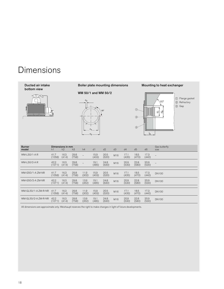### Dimensions



All dimensions are approximate only. Weishaupt reserves the right to make changes in light of future developments.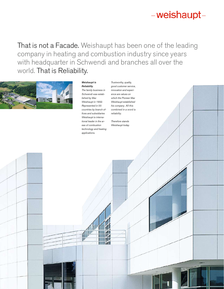19 19

That is not a Facade. Weishaupt has been one of the leading company in heating and combustion industry since years with headquarter in Schwendi and branches all over the world. That is Reliability.



#### *Weishaupt is Reliability.*

*The family business in Schwendi was established by Max Weishaupt in 1932. Represented in 55 countries by branch offices and subsidiaries Weishaupt is international leader in the areas of combustion technology and heating applications.* 

*Trustworthy, quality, good customer service, innovation and experience are values on which the Pioneer Max Weishaupt established his company. All this combined in a word is reliability.* 

*Therefore stands Weishaupt today.*

TU!